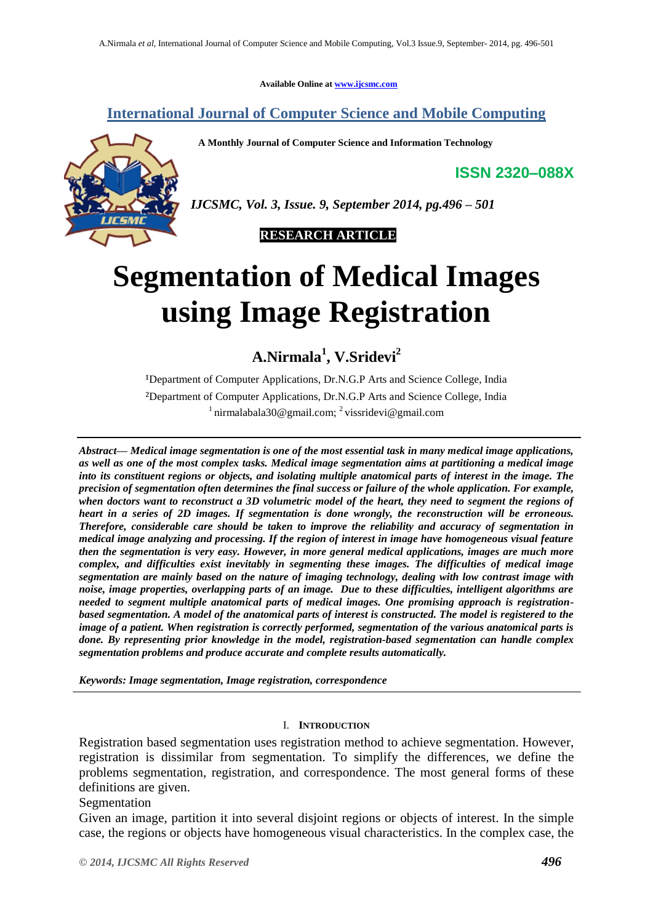**Available Online at [www.ijcsmc.com](http://www.ijcsmc.com/)**

## **International Journal of Computer Science and Mobile Computing**

 **A Monthly Journal of Computer Science and Information Technology**



**ISSN 2320–088X**

*IJCSMC, Vol. 3, Issue. 9, September 2014, pg.496 – 501*



# **Segmentation of Medical Images using Image Registration**

**A.Nirmala<sup>1</sup> , V.Sridevi<sup>2</sup>**

<sup>1</sup>Department of Computer Applications, Dr.N.G.P Arts and Science College, India ²Department of Computer Applications, Dr.N.G.P Arts and Science College, India  $1$ nirmalabala30@gmail.com;  $2$  vissridevi@gmail.com

*Abstract— Medical image segmentation is one of the most essential task in many medical image applications, as well as one of the most complex tasks. Medical image segmentation aims at partitioning a medical image into its constituent regions or objects, and isolating multiple anatomical parts of interest in the image. The precision of segmentation often determines the final success or failure of the whole application. For example, when doctors want to reconstruct a 3D volumetric model of the heart, they need to segment the regions of heart in a series of 2D images. If segmentation is done wrongly, the reconstruction will be erroneous. Therefore, considerable care should be taken to improve the reliability and accuracy of segmentation in medical image analyzing and processing. If the region of interest in image have homogeneous visual feature then the segmentation is very easy. However, in more general medical applications, images are much more complex, and difficulties exist inevitably in segmenting these images. The difficulties of medical image segmentation are mainly based on the nature of imaging technology, dealing with low contrast image with noise, image properties, overlapping parts of an image. Due to these difficulties, intelligent algorithms are needed to segment multiple anatomical parts of medical images. One promising approach is registrationbased segmentation. A model of the anatomical parts of interest is constructed. The model is registered to the image of a patient. When registration is correctly performed, segmentation of the various anatomical parts is done. By representing prior knowledge in the model, registration-based segmentation can handle complex segmentation problems and produce accurate and complete results automatically.*

*Keywords: Image segmentation, Image registration, correspondence*

#### I. **INTRODUCTION**

Registration based segmentation uses registration method to achieve segmentation. However, registration is dissimilar from segmentation. To simplify the differences, we define the problems segmentation, registration, and correspondence. The most general forms of these definitions are given.

Segmentation

Given an image, partition it into several disjoint regions or objects of interest. In the simple case, the regions or objects have homogeneous visual characteristics. In the complex case, the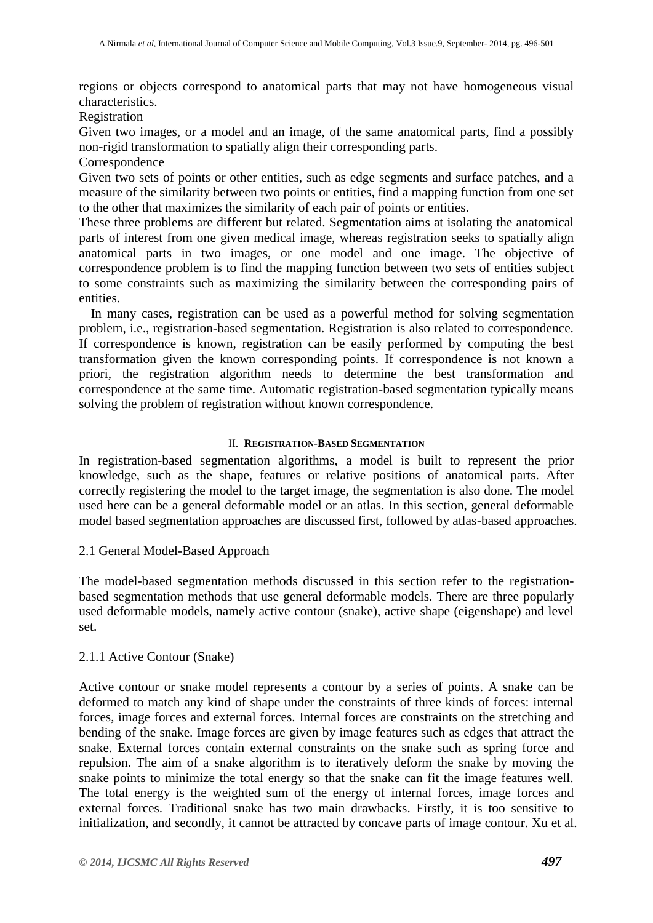regions or objects correspond to anatomical parts that may not have homogeneous visual characteristics.

**Registration** 

Given two images, or a model and an image, of the same anatomical parts, find a possibly non-rigid transformation to spatially align their corresponding parts.

Correspondence

Given two sets of points or other entities, such as edge segments and surface patches, and a measure of the similarity between two points or entities, find a mapping function from one set to the other that maximizes the similarity of each pair of points or entities.

These three problems are different but related. Segmentation aims at isolating the anatomical parts of interest from one given medical image, whereas registration seeks to spatially align anatomical parts in two images, or one model and one image. The objective of correspondence problem is to find the mapping function between two sets of entities subject to some constraints such as maximizing the similarity between the corresponding pairs of entities.

In many cases, registration can be used as a powerful method for solving segmentation problem, i.e., registration-based segmentation. Registration is also related to correspondence. If correspondence is known, registration can be easily performed by computing the best transformation given the known corresponding points. If correspondence is not known a priori, the registration algorithm needs to determine the best transformation and correspondence at the same time. Automatic registration-based segmentation typically means solving the problem of registration without known correspondence.

#### II. **REGISTRATION-BASED SEGMENTATION**

In registration-based segmentation algorithms, a model is built to represent the prior knowledge, such as the shape, features or relative positions of anatomical parts. After correctly registering the model to the target image, the segmentation is also done. The model used here can be a general deformable model or an atlas. In this section, general deformable model based segmentation approaches are discussed first, followed by atlas-based approaches.

2.1 General Model-Based Approach

The model-based segmentation methods discussed in this section refer to the registrationbased segmentation methods that use general deformable models. There are three popularly used deformable models, namely active contour (snake), active shape (eigenshape) and level set.

#### 2.1.1 Active Contour (Snake)

Active contour or snake model represents a contour by a series of points. A snake can be deformed to match any kind of shape under the constraints of three kinds of forces: internal forces, image forces and external forces. Internal forces are constraints on the stretching and bending of the snake. Image forces are given by image features such as edges that attract the snake. External forces contain external constraints on the snake such as spring force and repulsion. The aim of a snake algorithm is to iteratively deform the snake by moving the snake points to minimize the total energy so that the snake can fit the image features well. The total energy is the weighted sum of the energy of internal forces, image forces and external forces. Traditional snake has two main drawbacks. Firstly, it is too sensitive to initialization, and secondly, it cannot be attracted by concave parts of image contour. Xu et al.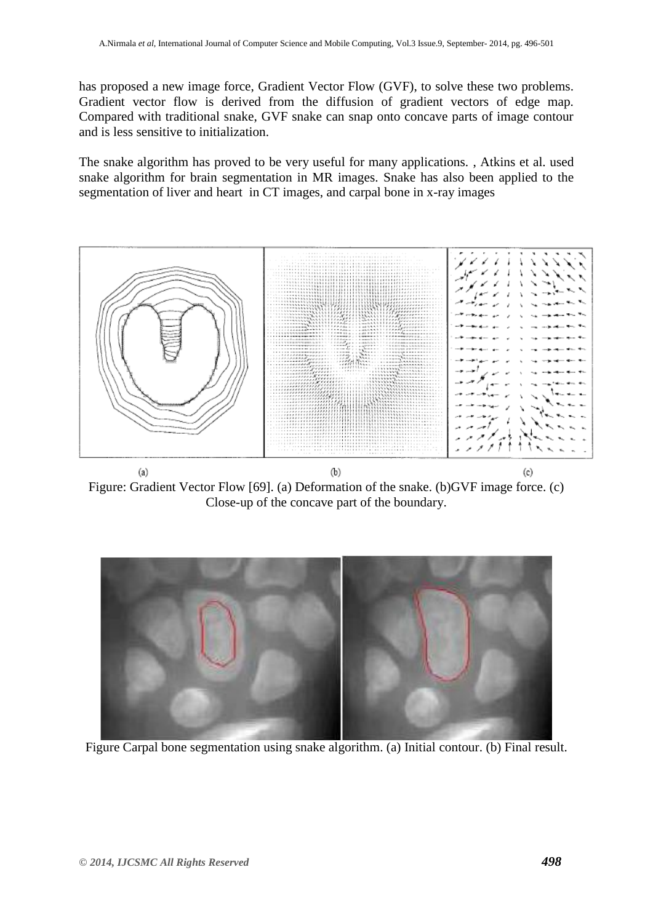has proposed a new image force, Gradient Vector Flow (GVF), to solve these two problems. Gradient vector flow is derived from the diffusion of gradient vectors of edge map. Compared with traditional snake, GVF snake can snap onto concave parts of image contour and is less sensitive to initialization.

The snake algorithm has proved to be very useful for many applications. , Atkins et al. used snake algorithm for brain segmentation in MR images. Snake has also been applied to the segmentation of liver and heart in CT images, and carpal bone in x-ray images



 $(a)$  $(b)$  $(c)$ Figure: Gradient Vector Flow [69]. (a) Deformation of the snake. (b)GVF image force. (c) Close-up of the concave part of the boundary.



Figure Carpal bone segmentation using snake algorithm. (a) Initial contour. (b) Final result.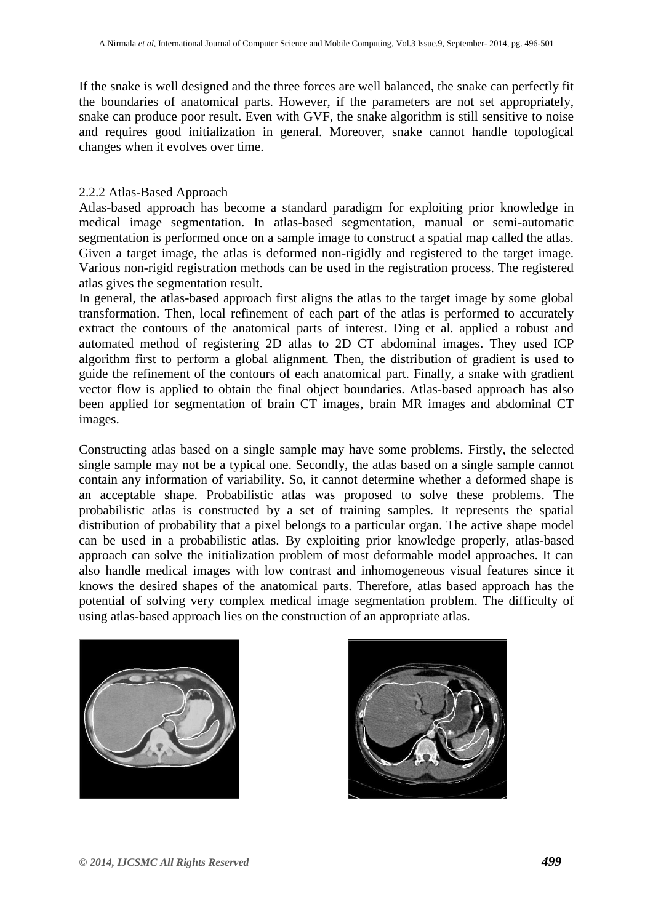If the snake is well designed and the three forces are well balanced, the snake can perfectly fit the boundaries of anatomical parts. However, if the parameters are not set appropriately, snake can produce poor result. Even with GVF, the snake algorithm is still sensitive to noise and requires good initialization in general. Moreover, snake cannot handle topological changes when it evolves over time.

### 2.2.2 Atlas-Based Approach

Atlas-based approach has become a standard paradigm for exploiting prior knowledge in medical image segmentation. In atlas-based segmentation, manual or semi-automatic segmentation is performed once on a sample image to construct a spatial map called the atlas. Given a target image, the atlas is deformed non-rigidly and registered to the target image. Various non-rigid registration methods can be used in the registration process. The registered atlas gives the segmentation result.

In general, the atlas-based approach first aligns the atlas to the target image by some global transformation. Then, local refinement of each part of the atlas is performed to accurately extract the contours of the anatomical parts of interest. Ding et al. applied a robust and automated method of registering 2D atlas to 2D CT abdominal images. They used ICP algorithm first to perform a global alignment. Then, the distribution of gradient is used to guide the refinement of the contours of each anatomical part. Finally, a snake with gradient vector flow is applied to obtain the final object boundaries. Atlas-based approach has also been applied for segmentation of brain CT images, brain MR images and abdominal CT images.

Constructing atlas based on a single sample may have some problems. Firstly, the selected single sample may not be a typical one. Secondly, the atlas based on a single sample cannot contain any information of variability. So, it cannot determine whether a deformed shape is an acceptable shape. Probabilistic atlas was proposed to solve these problems. The probabilistic atlas is constructed by a set of training samples. It represents the spatial distribution of probability that a pixel belongs to a particular organ. The active shape model can be used in a probabilistic atlas. By exploiting prior knowledge properly, atlas-based approach can solve the initialization problem of most deformable model approaches. It can also handle medical images with low contrast and inhomogeneous visual features since it knows the desired shapes of the anatomical parts. Therefore, atlas based approach has the potential of solving very complex medical image segmentation problem. The difficulty of using atlas-based approach lies on the construction of an appropriate atlas.



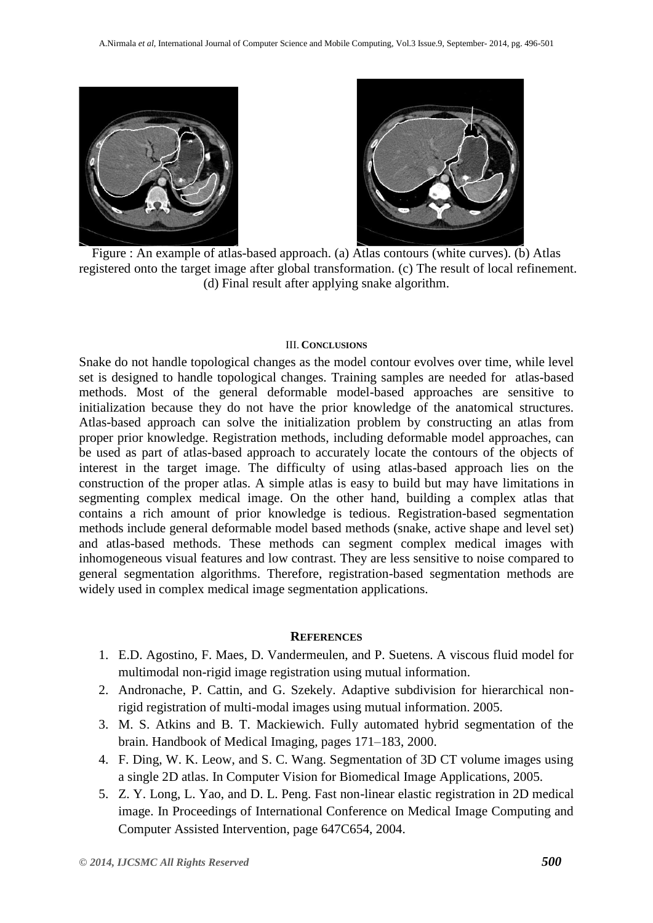



Figure : An example of atlas-based approach. (a) Atlas contours (white curves). (b) Atlas registered onto the target image after global transformation. (c) The result of local refinement. (d) Final result after applying snake algorithm.

#### III. **CONCLUSIONS**

Snake do not handle topological changes as the model contour evolves over time, while level set is designed to handle topological changes. Training samples are needed for atlas-based methods. Most of the general deformable model-based approaches are sensitive to initialization because they do not have the prior knowledge of the anatomical structures. Atlas-based approach can solve the initialization problem by constructing an atlas from proper prior knowledge. Registration methods, including deformable model approaches, can be used as part of atlas-based approach to accurately locate the contours of the objects of interest in the target image. The difficulty of using atlas-based approach lies on the construction of the proper atlas. A simple atlas is easy to build but may have limitations in segmenting complex medical image. On the other hand, building a complex atlas that contains a rich amount of prior knowledge is tedious. Registration-based segmentation methods include general deformable model based methods (snake, active shape and level set) and atlas-based methods. These methods can segment complex medical images with inhomogeneous visual features and low contrast. They are less sensitive to noise compared to general segmentation algorithms. Therefore, registration-based segmentation methods are widely used in complex medical image segmentation applications.

#### **REFERENCES**

- 1. E.D. Agostino, F. Maes, D. Vandermeulen, and P. Suetens. A viscous fluid model for multimodal non-rigid image registration using mutual information.
- 2. Andronache, P. Cattin, and G. Szekely. Adaptive subdivision for hierarchical nonrigid registration of multi-modal images using mutual information. 2005.
- 3. M. S. Atkins and B. T. Mackiewich. Fully automated hybrid segmentation of the brain. Handbook of Medical Imaging, pages 171–183, 2000.
- 4. F. Ding, W. K. Leow, and S. C. Wang. Segmentation of 3D CT volume images using a single 2D atlas. In Computer Vision for Biomedical Image Applications, 2005.
- 5. Z. Y. Long, L. Yao, and D. L. Peng. Fast non-linear elastic registration in 2D medical image. In Proceedings of International Conference on Medical Image Computing and Computer Assisted Intervention, page 647C654, 2004.